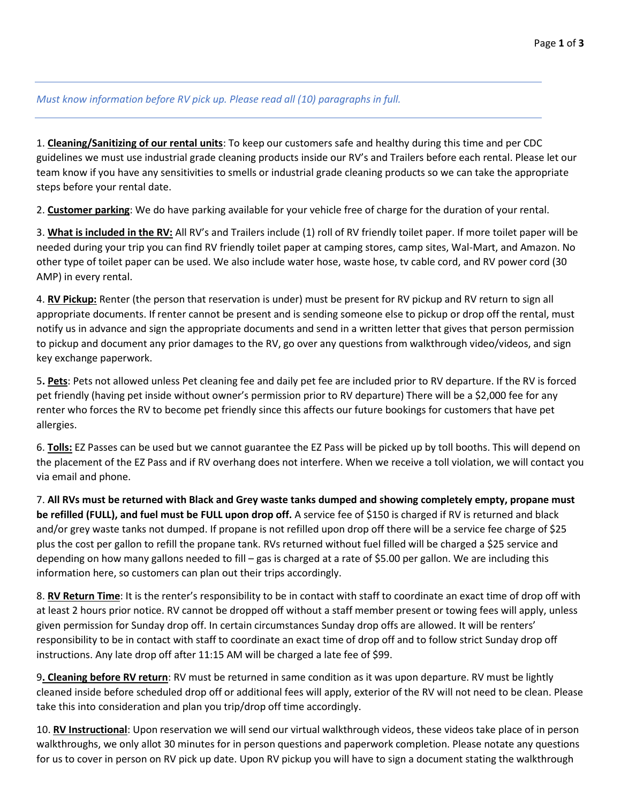*Must know information before RV pick up. Please read all (10) paragraphs in full.* 

1. **Cleaning/Sanitizing of our rental units**: To keep our customers safe and healthy during this time and per CDC guidelines we must use industrial grade cleaning products inside our RV's and Trailers before each rental. Please let our team know if you have any sensitivities to smells or industrial grade cleaning products so we can take the appropriate steps before your rental date.

2. **Customer parking**: We do have parking available for your vehicle free of charge for the duration of your rental.

3. **What is included in the RV:** All RV's and Trailers include (1) roll of RV friendly toilet paper. If more toilet paper will be needed during your trip you can find RV friendly toilet paper at camping stores, camp sites, Wal-Mart, and Amazon. No other type of toilet paper can be used. We also include water hose, waste hose, tv cable cord, and RV power cord (30 AMP) in every rental.

4. **RV Pickup:** Renter (the person that reservation is under) must be present for RV pickup and RV return to sign all appropriate documents. If renter cannot be present and is sending someone else to pickup or drop off the rental, must notify us in advance and sign the appropriate documents and send in a written letter that gives that person permission to pickup and document any prior damages to the RV, go over any questions from walkthrough video/videos, and sign key exchange paperwork.

5**. Pets**: Pets not allowed unless Pet cleaning fee and daily pet fee are included prior to RV departure. If the RV is forced pet friendly (having pet inside without owner's permission prior to RV departure) There will be a \$2,000 fee for any renter who forces the RV to become pet friendly since this affects our future bookings for customers that have pet allergies.

6. **Tolls:** EZ Passes can be used but we cannot guarantee the EZ Pass will be picked up by toll booths. This will depend on the placement of the EZ Pass and if RV overhang does not interfere. When we receive a toll violation, we will contact you via email and phone.

7. **All RVs must be returned with Black and Grey waste tanks dumped and showing completely empty, propane must be refilled (FULL), and fuel must be FULL upon drop off.** A service fee of \$150 is charged if RV is returned and black and/or grey waste tanks not dumped. If propane is not refilled upon drop off there will be a service fee charge of \$25 plus the cost per gallon to refill the propane tank. RVs returned without fuel filled will be charged a \$25 service and depending on how many gallons needed to fill – gas is charged at a rate of \$5.00 per gallon. We are including this information here, so customers can plan out their trips accordingly.

8. **RV Return Time**: It is the renter's responsibility to be in contact with staff to coordinate an exact time of drop off with at least 2 hours prior notice. RV cannot be dropped off without a staff member present or towing fees will apply, unless given permission for Sunday drop off. In certain circumstances Sunday drop offs are allowed. It will be renters' responsibility to be in contact with staff to coordinate an exact time of drop off and to follow strict Sunday drop off instructions. Any late drop off after 11:15 AM will be charged a late fee of \$99.

9**. Cleaning before RV return**: RV must be returned in same condition as it was upon departure. RV must be lightly cleaned inside before scheduled drop off or additional fees will apply, exterior of the RV will not need to be clean. Please take this into consideration and plan you trip/drop off time accordingly.

10. **RV Instructional**: Upon reservation we will send our virtual walkthrough videos, these videos take place of in person walkthroughs, we only allot 30 minutes for in person questions and paperwork completion. Please notate any questions for us to cover in person on RV pick up date. Upon RV pickup you will have to sign a document stating the walkthrough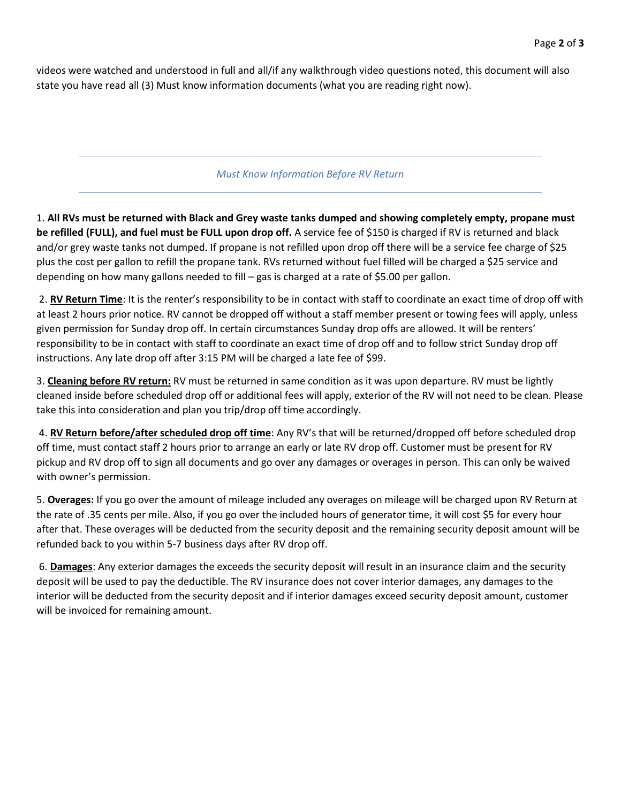videos were watched and understood in full and all/if any walkthrough video questions noted, this document will also state you have read all (3) Must know information documents (what you are reading right now).

#### *Must Know Information Before RV Return*

1. **All RVs must be returned with Black and Grey waste tanks dumped and showing completely empty, propane must be refilled (FULL), and fuel must be FULL upon drop off.** A service fee of \$150 is charged if RV is returned and black and/or grey waste tanks not dumped. If propane is not refilled upon drop off there will be a service fee charge of \$25 plus the cost per gallon to refill the propane tank. RVs returned without fuel filled will be charged a \$25 service and depending on how many gallons needed to fill – gas is charged at a rate of \$5.00 per gallon.

2. **RV Return Time**: It is the renter's responsibility to be in contact with staff to coordinate an exact time of drop off with at least 2 hours prior notice. RV cannot be dropped off without a staff member present or towing fees will apply, unless given permission for Sunday drop off. In certain circumstances Sunday drop offs are allowed. It will be renters' responsibility to be in contact with staff to coordinate an exact time of drop off and to follow strict Sunday drop off instructions. Any late drop off after 3:15 PM will be charged a late fee of \$99.

3. **Cleaning before RV return:** RV must be returned in same condition as it was upon departure. RV must be lightly cleaned inside before scheduled drop off or additional fees will apply, exterior of the RV will not need to be clean. Please take this into consideration and plan you trip/drop off time accordingly.

4. **RV Return before/after scheduled drop off time**: Any RV's that will be returned/dropped off before scheduled drop off time, must contact staff 2 hours prior to arrange an early or late RV drop off. Customer must be present for RV pickup and RV drop off to sign all documents and go over any damages or overages in person. This can only be waived with owner's permission.

5. **Overages:** If you go over the amount of mileage included any overages on mileage will be charged upon RV Return at the rate of .35 cents per mile. Also, if you go over the included hours of generator time, it will cost \$5 for every hour after that. These overages will be deducted from the security deposit and the remaining security deposit amount will be refunded back to you within 5-7 business days after RV drop off.

6. **Damages**: Any exterior damages the exceeds the security deposit will result in an insurance claim and the security deposit will be used to pay the deductible. The RV insurance does not cover interior damages, any damages to the interior will be deducted from the security deposit and if interior damages exceed security deposit amount, customer will be invoiced for remaining amount.